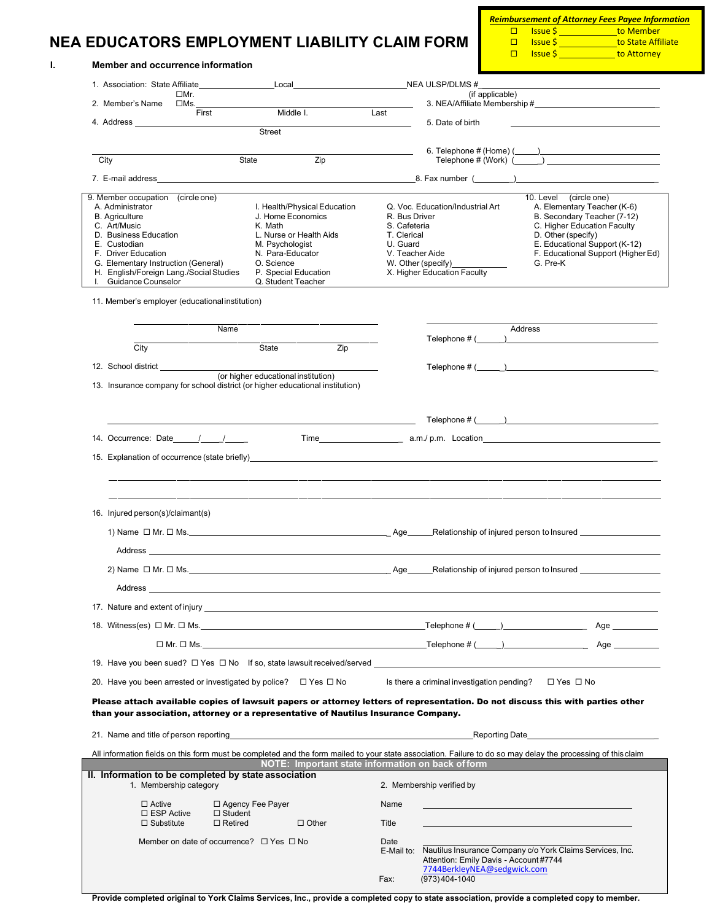# **NEA EDUCATORS EMPLOYMENT LIABILITY CLAIM FORM**

*Reimbursement of Attorney Fees Payee Information* <u>□ Issue \$ \_\_\_\_\_\_\_\_\_\_\_\_\_t</u>o Member<br>□ Issue \$ \_\_\_\_\_\_\_\_\_\_\_\_\_to State Affi  $\frac{1}{\sqrt{1}}$ to State Affiliate

|                                                                                                                                                                                                                                | 1. Association: State Affiliate______                                                                                |                                                                                                                                                                                                                                |     |                               | Local NEA ULSP/DLMS #                                                                                               |                 |                                                                     |  |
|--------------------------------------------------------------------------------------------------------------------------------------------------------------------------------------------------------------------------------|----------------------------------------------------------------------------------------------------------------------|--------------------------------------------------------------------------------------------------------------------------------------------------------------------------------------------------------------------------------|-----|-------------------------------|---------------------------------------------------------------------------------------------------------------------|-----------------|---------------------------------------------------------------------|--|
|                                                                                                                                                                                                                                | □Mr.                                                                                                                 |                                                                                                                                                                                                                                |     |                               |                                                                                                                     | (if applicable) |                                                                     |  |
|                                                                                                                                                                                                                                | First                                                                                                                | Middle I.                                                                                                                                                                                                                      |     | Last                          |                                                                                                                     |                 |                                                                     |  |
| 4. Address and the state of the state of the state of the state of the state of the state of the state of the state of the state of the state of the state of the state of the state of the state of the state of the state of |                                                                                                                      | Street                                                                                                                                                                                                                         |     |                               | 5. Date of birth                                                                                                    |                 |                                                                     |  |
|                                                                                                                                                                                                                                |                                                                                                                      |                                                                                                                                                                                                                                |     |                               |                                                                                                                     |                 |                                                                     |  |
| City                                                                                                                                                                                                                           |                                                                                                                      | Zip<br>State                                                                                                                                                                                                                   |     |                               |                                                                                                                     |                 |                                                                     |  |
|                                                                                                                                                                                                                                |                                                                                                                      |                                                                                                                                                                                                                                |     |                               | 8. Fax number ( <u>Consumer )</u> [2014]                                                                            |                 |                                                                     |  |
| 9. Member occupation (circle one)                                                                                                                                                                                              |                                                                                                                      |                                                                                                                                                                                                                                |     |                               |                                                                                                                     |                 | 10. Level (circle one)                                              |  |
| A. Administrator                                                                                                                                                                                                               |                                                                                                                      | I. Health/Physical Education                                                                                                                                                                                                   |     |                               | Q. Voc. Education/Industrial Art                                                                                    |                 | A. Elementary Teacher (K-6)                                         |  |
| <b>B.</b> Agriculture<br>C. Art/Music                                                                                                                                                                                          |                                                                                                                      | J. Home Economics<br>K. Math                                                                                                                                                                                                   |     | R. Bus Driver<br>S. Cafeteria |                                                                                                                     |                 | B. Secondary Teacher (7-12)<br>C. Higher Education Faculty          |  |
| D. Business Education                                                                                                                                                                                                          |                                                                                                                      | L. Nurse or Health Aids                                                                                                                                                                                                        |     | T. Clerical                   |                                                                                                                     |                 | D. Other (specify)                                                  |  |
| E. Custodian<br>F. Driver Education                                                                                                                                                                                            |                                                                                                                      | M. Psychologist<br>N. Para-Educator                                                                                                                                                                                            |     | U. Guard<br>V. Teacher Aide   |                                                                                                                     |                 | E. Educational Support (K-12)<br>F. Educational Support (Higher Ed) |  |
| G. Elementary Instruction (General)                                                                                                                                                                                            |                                                                                                                      | O. Science                                                                                                                                                                                                                     |     |                               | W. Other (specify)                                                                                                  |                 | G. Pre-K                                                            |  |
|                                                                                                                                                                                                                                | H. English/Foreign Lang./Social Studies                                                                              | P. Special Education                                                                                                                                                                                                           |     |                               | X. Higher Education Faculty                                                                                         |                 |                                                                     |  |
| I. Guidance Counselor                                                                                                                                                                                                          |                                                                                                                      | Q. Student Teacher                                                                                                                                                                                                             |     |                               |                                                                                                                     |                 |                                                                     |  |
|                                                                                                                                                                                                                                | 11. Member's employer (educational institution)                                                                      |                                                                                                                                                                                                                                |     |                               |                                                                                                                     |                 |                                                                     |  |
|                                                                                                                                                                                                                                | Name                                                                                                                 |                                                                                                                                                                                                                                |     |                               | Telephone $\#\left(\begin{array}{c} \begin{array}{c} \begin{array}{c} \end{array}\\ \end{array}\right) \end{array}$ | Address         |                                                                     |  |
| City                                                                                                                                                                                                                           |                                                                                                                      | State                                                                                                                                                                                                                          | Zip |                               |                                                                                                                     |                 |                                                                     |  |
|                                                                                                                                                                                                                                |                                                                                                                      |                                                                                                                                                                                                                                |     |                               |                                                                                                                     |                 |                                                                     |  |
| 12. School district ______________                                                                                                                                                                                             |                                                                                                                      | (or higher educational institution)                                                                                                                                                                                            |     |                               | Telephone $\#$ ( $\qquad$ )                                                                                         |                 |                                                                     |  |
|                                                                                                                                                                                                                                |                                                                                                                      | 13. Insurance company for school district (or higher educational institution)                                                                                                                                                  |     |                               |                                                                                                                     |                 |                                                                     |  |
|                                                                                                                                                                                                                                | <u> Alexandria de la contrada de la contrada de la contrada de la contrada de la contrada de la contrada de la c</u> |                                                                                                                                                                                                                                |     |                               |                                                                                                                     |                 |                                                                     |  |
|                                                                                                                                                                                                                                |                                                                                                                      | 15. Explanation of occurrence (state briefly) example and the state of the state of the state of the state of the state of the state of the state of the state of the state of the state of the state of the state of the stat |     |                               |                                                                                                                     |                 |                                                                     |  |
|                                                                                                                                                                                                                                |                                                                                                                      |                                                                                                                                                                                                                                |     |                               |                                                                                                                     |                 |                                                                     |  |
|                                                                                                                                                                                                                                |                                                                                                                      |                                                                                                                                                                                                                                |     |                               |                                                                                                                     |                 |                                                                     |  |
| 16. Injured person(s)/claimant(s)                                                                                                                                                                                              |                                                                                                                      |                                                                                                                                                                                                                                |     |                               |                                                                                                                     |                 |                                                                     |  |
|                                                                                                                                                                                                                                |                                                                                                                      | 1) Name $\Box$ Mr. $\Box$ Ms.                                                                                                                                                                                                  |     |                               |                                                                                                                     |                 |                                                                     |  |
|                                                                                                                                                                                                                                |                                                                                                                      | Address and the contract of the contract of the contract of the contract of the contract of the contract of the contract of the contract of the contract of the contract of the contract of the contract of the contract of th |     |                               |                                                                                                                     |                 |                                                                     |  |
| 2) Name □ Mr. □ Ms.                                                                                                                                                                                                            |                                                                                                                      |                                                                                                                                                                                                                                |     | Aae                           | Relationship of injured person to Insured                                                                           |                 |                                                                     |  |
|                                                                                                                                                                                                                                |                                                                                                                      |                                                                                                                                                                                                                                |     |                               |                                                                                                                     |                 |                                                                     |  |
|                                                                                                                                                                                                                                |                                                                                                                      |                                                                                                                                                                                                                                |     |                               |                                                                                                                     |                 |                                                                     |  |
|                                                                                                                                                                                                                                |                                                                                                                      |                                                                                                                                                                                                                                |     |                               |                                                                                                                     |                 |                                                                     |  |
|                                                                                                                                                                                                                                |                                                                                                                      |                                                                                                                                                                                                                                |     |                               |                                                                                                                     |                 |                                                                     |  |
|                                                                                                                                                                                                                                |                                                                                                                      | 19. Have you been sued? □ Yes □ No If so, state lawsuit received/served ___________________________                                                                                                                            |     |                               |                                                                                                                     |                 |                                                                     |  |
|                                                                                                                                                                                                                                |                                                                                                                      | 20. Have you been arrested or investigated by police? □ Yes □ No                                                                                                                                                               |     |                               | Is there a criminal investigation pending? $\square$ Yes $\square$ No                                               |                 |                                                                     |  |
|                                                                                                                                                                                                                                |                                                                                                                      | Please attach available copies of lawsuit papers or attorney letters of representation. Do not discuss this with parties other                                                                                                 |     |                               |                                                                                                                     |                 |                                                                     |  |
|                                                                                                                                                                                                                                |                                                                                                                      | than your association, attorney or a representative of Nautilus Insurance Company.                                                                                                                                             |     |                               |                                                                                                                     |                 |                                                                     |  |
|                                                                                                                                                                                                                                |                                                                                                                      | 21. Name and title of person reporting the state of the state of the state of the state of the state of person reporting                                                                                                       |     |                               |                                                                                                                     |                 | Reporting Date ________________________________                     |  |
|                                                                                                                                                                                                                                |                                                                                                                      |                                                                                                                                                                                                                                |     |                               |                                                                                                                     |                 |                                                                     |  |
|                                                                                                                                                                                                                                |                                                                                                                      | All information fields on this form must be completed and the form mailed to your state association. Failure to do so may delay the processing of this claim                                                                   |     |                               | NOTE: Important state information on back of form                                                                   |                 |                                                                     |  |
|                                                                                                                                                                                                                                | II. Information to be completed by state association<br>1. Membership category                                       |                                                                                                                                                                                                                                |     |                               | 2. Membership verified by                                                                                           |                 |                                                                     |  |
| $\Box$ Active                                                                                                                                                                                                                  |                                                                                                                      | □ Agency Fee Payer                                                                                                                                                                                                             |     | Name                          |                                                                                                                     |                 |                                                                     |  |
| $\Box$ Substitute                                                                                                                                                                                                              | $\square$ ESP Active<br>$\Box$ Student<br>$\Box$ Retired                                                             | $\Box$ Other                                                                                                                                                                                                                   |     | Title                         |                                                                                                                     |                 |                                                                     |  |
|                                                                                                                                                                                                                                |                                                                                                                      |                                                                                                                                                                                                                                |     |                               |                                                                                                                     |                 |                                                                     |  |
|                                                                                                                                                                                                                                | Member on date of occurrence? $\Box$ Yes $\Box$ No                                                                   |                                                                                                                                                                                                                                |     | Date                          | E-Mail to: Nautilus Insurance Company c/o York Claims Services, Inc.                                                |                 |                                                                     |  |

Provide completed original to York Claims Services, Inc., provide a completed copy to state association, provide a completed copy to member.